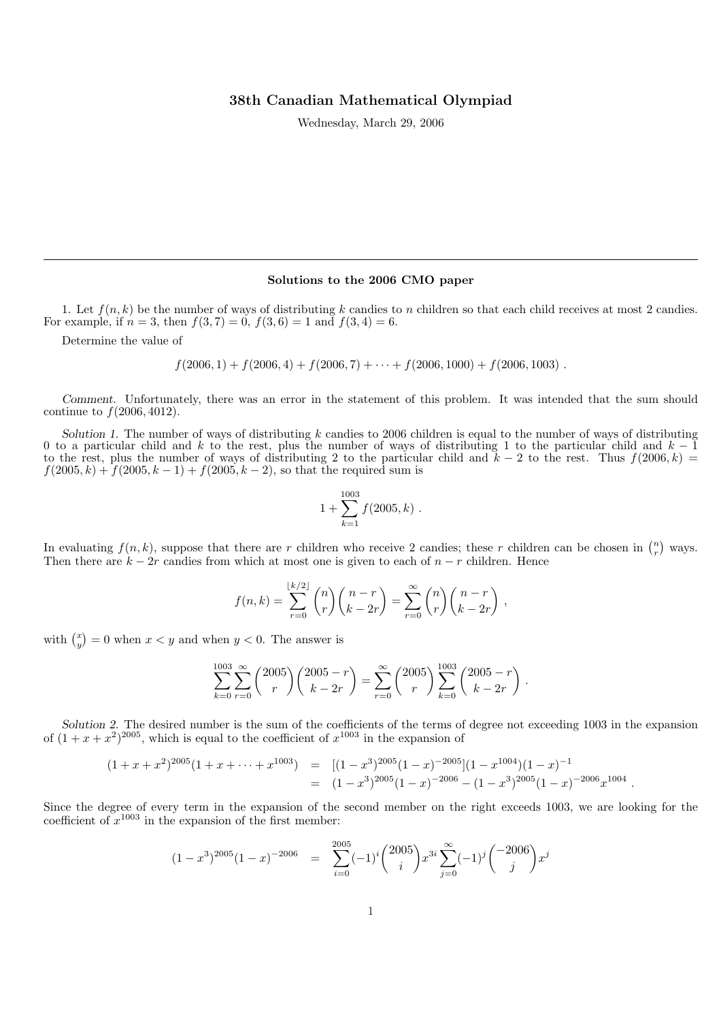## 38th Canadian Mathematical Olympiad

Wednesday, March 29, 2006

## Solutions to the 2006 CMO paper

1. Let  $f(n, k)$  be the number of ways of distributing k candies to n children so that each child receives at most 2 candies. For example, if  $n = 3$ , then  $f(3, 7) = 0$ ,  $f(3, 6) = 1$  and  $f(3, 4) = 6$ .

Determine the value of

$$
f(2006, 1) + f(2006, 4) + f(2006, 7) + \cdots + f(2006, 1000) + f(2006, 1003).
$$

Comment. Unfortunately, there was an error in the statement of this problem. It was intended that the sum should continue to  $f(2006, 4012)$ .

Solution 1. The number of ways of distributing  $k$  candies to 2006 children is equal to the number of ways of distributing 0 to a particular child and k to the rest, plus the number of ways of distributing 1 to the particular child and  $k - 1$ to the rest, plus the number of ways of distributing 2 to the particular child and  $k - 2$  to the rest. Thus  $f(2006, k) =$  $f(2005, k) + f(2005, k - 1) + f(2005, k - 2)$ , so that the required sum is

$$
1 + \sum_{k=1}^{1003} f(2005, k) .
$$

In evaluating  $f(n, k)$ , suppose that there are r children who receive 2 candies; these r children can be chosen in  $\binom{n}{r}$ ¢ ways. Then there are  $k - 2r$  candies from which at most one is given to each of  $n - r$  children. Hence

$$
f(n,k) = \sum_{r=0}^{\lfloor k/2 \rfloor} {n \choose r} {n-r \choose k-2r} = \sum_{r=0}^{\infty} {n \choose r} {n-r \choose k-2r},
$$

with  $\binom{x}{y}$ ¢  $= 0$  when  $x < y$  and when  $y < 0$ . The answer is

$$
\sum_{k=0}^{1003} \sum_{r=0}^{\infty} {2005 \choose r} {2005 - r \choose k-2r} = \sum_{r=0}^{\infty} {2005 \choose r} \sum_{k=0}^{1003} {2005 - r \choose k-2r}
$$

.

Solution 2. The desired number is the sum of the coefficients of the terms of degree not exceeding 1003 in the expansion of  $(1 + x + x^2)^{2005}$ , which is equal to the coefficient of  $x^{1003}$  in the expansion of

$$
(1+x+x^2)^{2005}(1+x+\cdots+x^{1003}) = [(1-x^3)^{2005}(1-x)^{-2005}](1-x^{1004})(1-x)^{-1}
$$
  
= 
$$
(1-x^3)^{2005}(1-x)^{-2006} - (1-x^3)^{2005}(1-x)^{-2006}x^{1004}.
$$

Since the degree of every term in the expansion of the second member on the right exceeds 1003, we are looking for the coefficient of  $x^{1003}$  in the expansion of the first member:

$$
(1-x^3)^{2005}(1-x)^{-2006} = \sum_{i=0}^{2005} (-1)^i {2005 \choose i} x^{3i} \sum_{j=0}^{\infty} (-1)^j { -2006 \choose j} x^j
$$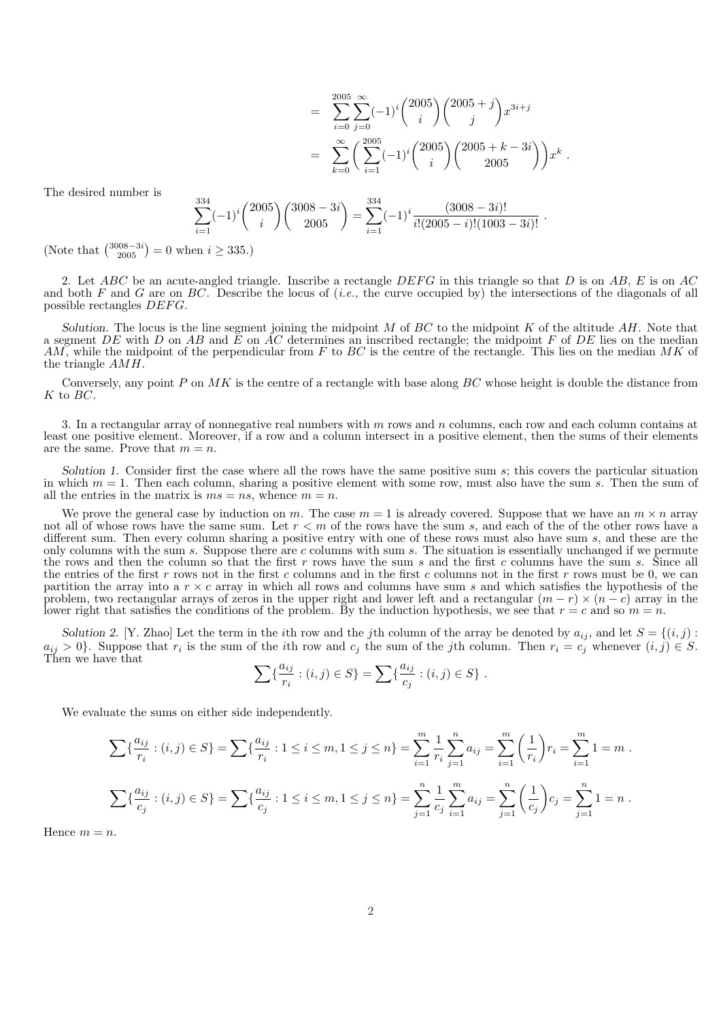$$
= \sum_{i=0}^{2005} \sum_{j=0}^{\infty} (-1)^i {2005 \choose i} {2005 + j \choose j} x^{3i+j}
$$
  
= 
$$
\sum_{k=0}^{\infty} \left( \sum_{i=1}^{2005} (-1)^i {2005 \choose i} {2005 + k - 3i \choose 2005} \right) x^k.
$$

The desired number is

$$
\sum_{i=1}^{334} (-1)^i \binom{2005}{i} \binom{3008-3i}{2005} = \sum_{i=1}^{334} (-1)^i \frac{(3008-3i)!}{i!(2005-i)!(1003-3i)!}.
$$

(Note that  $\binom{3008-3i}{2005} = 0$  when  $i \ge 335$ .)

2. Let ABC be an acute-angled triangle. Inscribe a rectangle  $DEFG$  in this triangle so that D is on AB, E is on AC and both F and G are on  $BC$ . Describe the locus of (*i.e.*, the curve occupied by) the intersections of the diagonals of all possible rectangles  $DEFG$ .

Solution. The locus is the line segment joining the midpoint  $M$  of  $BC$  to the midpoint  $K$  of the altitude  $AH$ . Note that a segment DE with D on AB and  $\bar{E}$  on AC determines an inscribed rectangle; the midpoint F of DE lies on the median AM, while the midpoint of the perpendicular from  $F$  to  $BC$  is the centre of the rectangle. This lies on the median  $MK$  of the triangle AMH.

Conversely, any point  $P$  on  $MK$  is the centre of a rectangle with base along  $BC$  whose height is double the distance from K to BC.

3. In a rectangular array of nonnegative real numbers with  $m$  rows and  $n$  columns, each row and each column contains at least one positive element. Moreover, if a row and a column intersect in a positive element, then the sums of their elements are the same. Prove that  $m = n$ .

Solution 1. Consider first the case where all the rows have the same positive sum s; this covers the particular situation in which  $m = 1$ . Then each column, sharing a positive element with some row, must also have the sum s. Then the sum of all the entries in the matrix is  $ms = ns$ , whence  $m = n$ .

We prove the general case by induction on m. The case  $m = 1$  is already covered. Suppose that we have an  $m \times n$  array not all of whose rows have the same sum. Let  $r < m$  of the rows have the sum s, and each of the of the other rows have a different sum. Then every column sharing a positive entry with one of these rows must also have sum s, and these are the only columns with the sum s. Suppose there are c columns with sum s. The situation is essentially unchanged if we permute the rows and then the column so that the first  $r$  rows have the sum  $s$  and the first  $c$  columns have the sum  $s$ . Since all the entries of the first r rows not in the first c columns and in the first c columns not in the first r rows must be 0, we can partition the array into a  $r \times c$  array in which all rows and columns have sum s and which satisfies the hypothesis of the problem, two rectangular arrays of zeros in the upper right and lower left and a rectangular  $(m - r) \times (n - c)$  array in the lower right that satisfies the conditions of the problem. By the induction hypothesis, we see that  $r = c$  and so  $m = n$ .

Solution 2. [Y. Zhao] Let the term in the *i*th row and the *j*th column of the array be denoted by  $a_{ij}$ , and let  $S = \{(i, j) :$  $a_{ij} > 0$ . Suppose that  $r_i$  is the sum of the *i*th row and  $c_j$  the sum of the *j*th column. Then  $r_i = c_j$  whenever  $(i, j) \in S$ . Then we have that

$$
\sum {\{\frac{a_{ij}}{r_i} : (i,j) \in S\}} = \sum {\{\frac{a_{ij}}{c_j} : (i,j) \in S\}}.
$$

We evaluate the sums on either side independently.

$$
\sum \{ \frac{a_{ij}}{r_i} : (i,j) \in S \} = \sum \{ \frac{a_{ij}}{r_i} : 1 \le i \le m, 1 \le j \le n \} = \sum_{i=1}^m \frac{1}{r_i} \sum_{j=1}^n a_{ij} = \sum_{i=1}^m \left( \frac{1}{r_i} \right) r_i = \sum_{i=1}^m 1 = m.
$$
  

$$
\sum \{ \frac{a_{ij}}{c_j} : (i,j) \in S \} = \sum \{ \frac{a_{ij}}{c_j} : 1 \le i \le m, 1 \le j \le n \} = \sum_{j=1}^n \frac{1}{c_j} \sum_{i=1}^m a_{ij} = \sum_{j=1}^n \left( \frac{1}{c_j} \right) c_j = \sum_{j=1}^n 1 = n.
$$

Hence  $m = n$ .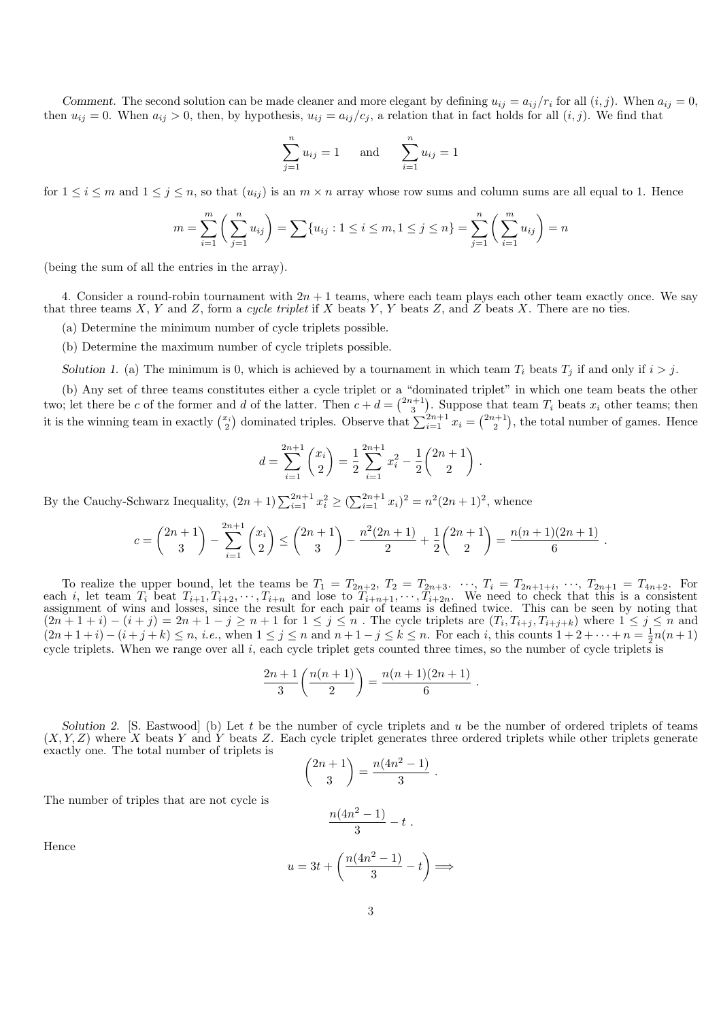Comment. The second solution can be made cleaner and more elegant by defining  $u_{ij} = a_{ij}/r_i$  for all  $(i, j)$ . When  $a_{ij} = 0$ , then  $u_{ij} = 0$ . When  $a_{ij} > 0$ , then, by hypothesis,  $u_{ij} = a_{ij}/c_j$ , a relation that in fact holds for all  $(i, j)$ . We find that

$$
\sum_{j=1}^{n} u_{ij} = 1 \quad \text{and} \quad \sum_{i=1}^{n} u_{ij} = 1
$$

for  $1 \le i \le m$  and  $1 \le j \le n$ , so that  $(u_{ij})$  is an  $m \times n$  array whose row sums and column sums are all equal to 1. Hence

$$
m = \sum_{i=1}^{m} \left( \sum_{j=1}^{n} u_{ij} \right) = \sum \{ u_{ij} : 1 \le i \le m, 1 \le j \le n \} = \sum_{j=1}^{n} \left( \sum_{i=1}^{m} u_{ij} \right) = n
$$

(being the sum of all the entries in the array).

4. Consider a round-robin tournament with  $2n + 1$  teams, where each team plays each other team exactly once. We say that three teams X, Y and Z, form a cycle triplet if X beats Y, Y beats Z, and Z beats X. There are no ties.

(a) Determine the minimum number of cycle triplets possible.

(b) Determine the maximum number of cycle triplets possible.

Solution 1. (a) The minimum is 0, which is achieved by a tournament in which team  $T_i$  beats  $T_j$  if and only if  $i > j$ .

(b) Any set of three teams constitutes either a cycle triplet or a "dominated triplet" in which one team beats the other two; let there be c of the former and d of the latter. Then  $c + d =$  $\frac{a}{2n+1}$  $\frac{11}{2}$ two; let there be c of the former and d of the latter. Then  $c + d = \binom{2n+1}{3}$ . Suppose that team  $T_i$  beats  $x_i$  other teams; then<br>it is the winning team in exactly  $\binom{x_i}{2}$  dominated triples. Observe that  $\sum_{i=1}^{2n+1$  $\alpha$  do the latter. Then  $e + a = \binom{3}{3}$ . Suppose  $\frac{\text{cmat}}{2}$  $\frac{1}{\sqrt{2}}$ , the total number of games. Hence

$$
d = \sum_{i=1}^{2n+1} {x_i \choose 2} = \frac{1}{2} \sum_{i=1}^{2n+1} x_i^2 - \frac{1}{2} {2n+1 \choose 2}.
$$

By the Cauchy-Schwarz Inequality,  $(2n + 1) \sum_{i=1}^{2n+1} x_i^2 \geq (\sum_{i=1}^{2n+1} x_i)^2 = n^2(2n + 1)^2$ , whence

$$
c = \binom{2n+1}{3} - \sum_{i=1}^{2n+1} \binom{x_i}{2} \le \binom{2n+1}{3} - \frac{n^2(2n+1)}{2} + \frac{1}{2} \binom{2n+1}{2} = \frac{n(n+1)(2n+1)}{6}.
$$

To realize the upper bound, let the teams be  $T_1 = T_{2n+2}$ ,  $T_2 = T_{2n+3}$ .  $\cdots$ ,  $T_i = T_{2n+1+i}$ ,  $\cdots$ ,  $T_{2n+1} = T_{4n+2}$ . For each i, let team  $T_i$  beat  $T_{i+1}, T_{i+2}, \dots, T_{i+n}$  and lose to  $T_{i+n+1}, \dots, T_{i+2n}$ . We need to check that this is a consistent assignment of wins and losses, since the result for each pair of teams is defined twice. This can be seen by noting that  $(2n+1+i)-(i+j)=2n+1-j\geq n+1$  for  $1\leq j\leq n$ . The cycle triplets are  $(T_i,T_{i+j},T_{i+j+k})$  where  $1\leq j\leq n$  and  $(2n+1+i)-(i+j+k) \le n, i.e.,$  when  $1 \le j \le n$  and  $n+1-j \le k \le n$ . For each i, this counts  $1+2+\cdots+n=\frac{1}{2}n(n+1)$ cycle triplets. When we range over all  $i$ , each cycle triplet gets counted three times, so the number of cycle triplets is

$$
\frac{2n+1}{3}\left(\frac{n(n+1)}{2}\right) = \frac{n(n+1)(2n+1)}{6}
$$

.

Solution 2. [S. Eastwood] (b) Let  $t$  be the number of cycle triplets and  $u$  be the number of ordered triplets of teams  $(X, Y, Z)$  where X beats Y and Y beats Z. Each cycle triplet generates three ordered triplets while other triplets generate exactly one. The total number of triplets is  $\overline{a}$  $\mathbf{r}$ 

$$
\binom{2n+1}{3} = \frac{n(4n^2-1)}{3}.
$$

The number of triples that are not cycle is

$$
\frac{n(4n^2-1)}{3}-t\ .
$$

Hence

$$
u=3t+\left(\frac{n(4n^2-1)}{3}-t\right)\Longrightarrow
$$